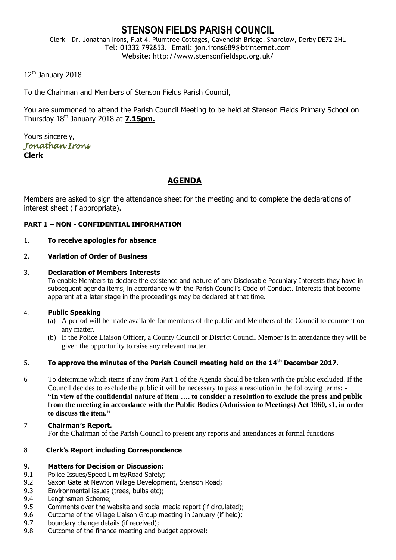# **STENSON FIELDS PARISH COUNCIL**

Clerk – Dr. Jonathan Irons, Flat 4, Plumtree Cottages, Cavendish Bridge, Shardlow, Derby DE72 2HL Tel: 01332 792853. Email: jon.irons689@btinternet.com Website: http://www.stensonfieldspc.org.uk/

12<sup>th</sup> January 2018

To the Chairman and Members of Stenson Fields Parish Council,

You are summoned to attend the Parish Council Meeting to be held at Stenson Fields Primary School on Thursday 18th January 2018 at **7.15pm.**

Yours sincerely, *Jonathan Irons*  **Clerk**

# **AGENDA**

Members are asked to sign the attendance sheet for the meeting and to complete the declarations of interest sheet (if appropriate).

# **PART 1 – NON - CONFIDENTIAL INFORMATION**

# 1. **To receive apologies for absence**

# 2**. Variation of Order of Business**

#### 3. **Declaration of Members Interests**

To enable Members to declare the existence and nature of any Disclosable Pecuniary Interests they have in subsequent agenda items, in accordance with the Parish Council's Code of Conduct. Interests that become apparent at a later stage in the proceedings may be declared at that time.

# 4. **Public Speaking**

- (a) A period will be made available for members of the public and Members of the Council to comment on any matter.
- (b) If the Police Liaison Officer, a County Council or District Council Member is in attendance they will be given the opportunity to raise any relevant matter.

# 5. **To approve the minutes of the Parish Council meeting held on the 14th December 2017.**

- 6 To determine which items if any from Part 1 of the Agenda should be taken with the public excluded. If the Council decides to exclude the public it will be necessary to pass a resolution in the following terms: - **"In view of the confidential nature of item …. to consider a resolution to exclude the press and public from the meeting in accordance with the Public Bodies (Admission to Meetings) Act 1960, s1, in order to discuss the item."**
- 7 **Chairman's Report.** For the Chairman of the Parish Council to present any reports and attendances at formal functions

# 8 **Clerk's Report including Correspondence**

# 9. **Matters for Decision or Discussion:**

- 9.1 Police Issues/Speed Limits/Road Safety;
- 9.2 Saxon Gate at Newton Village Development, Stenson Road;
- 9.3 Environmental issues (trees, bulbs etc);
- 9.4 Lengthsmen Scheme;
- 9.5 Comments over the website and social media report (if circulated);
- 9.6 Outcome of the Village Liaison Group meeting in January (if held):
- 9.7 boundary change details (if received);
- 9.8 Outcome of the finance meeting and budget approval;